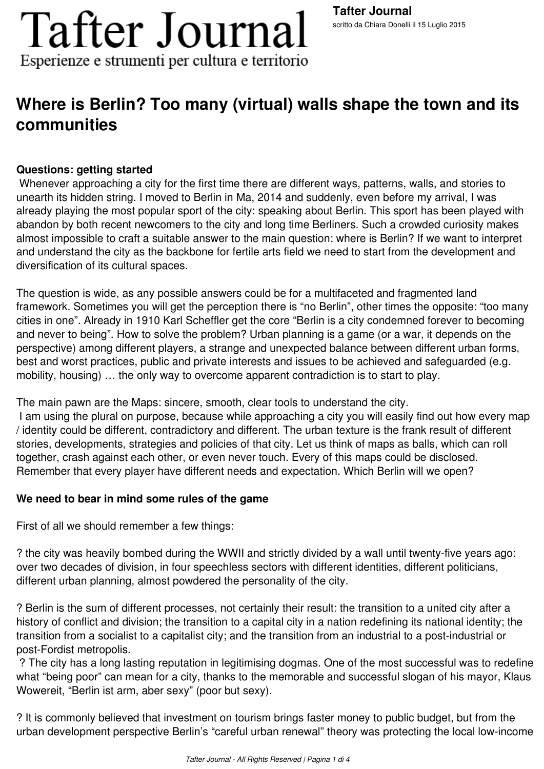# **Tafter Journal** Esperienze e strumenti per cultura e territorio

### **Where is Berlin? Too many (virtual) walls shape the town and its communities**

#### **Questions: getting started**

 Whenever approaching a city for the first time there are different ways, patterns, walls, and stories to unearth its hidden string. I moved to Berlin in Ma, 2014 and suddenly, even before my arrival, I was already playing the most popular sport of the city: speaking about Berlin. This sport has been played with abandon by both recent newcomers to the city and long time Berliners. Such a crowded curiosity makes almost impossible to craft a suitable answer to the main question: where is Berlin? If we want to interpret and understand the city as the backbone for fertile arts field we need to start from the development and diversification of its cultural spaces.

The question is wide, as any possible answers could be for a multifaceted and fragmented land framework. Sometimes you will get the perception there is "no Berlin", other times the opposite: "too many cities in one". Already in 1910 Karl Scheffler get the core "Berlin is a city condemned forever to becoming and never to being". How to solve the problem? Urban planning is a game (or a war, it depends on the perspective) among different players, a strange and unexpected balance between different urban forms, best and worst practices, public and private interests and issues to be achieved and safeguarded (e.g. mobility, housing) … the only way to overcome apparent contradiction is to start to play.

The main pawn are the Maps: sincere, smooth, clear tools to understand the city.

 I am using the plural on purpose, because while approaching a city you will easily find out how every map / identity could be different, contradictory and different. The urban texture is the frank result of different stories, developments, strategies and policies of that city. Let us think of maps as balls, which can roll together, crash against each other, or even never touch. Every of this maps could be disclosed. Remember that every player have different needs and expectation. Which Berlin will we open?

#### **We need to bear in mind some rules of the game**

First of all we should remember a few things:

? the city was heavily bombed during the WWII and strictly divided by a wall until twenty-five years ago: over two decades of division, in four speechless sectors with different identities, different politicians, different urban planning, almost powdered the personality of the city.

? Berlin is the sum of different processes, not certainly their result: the transition to a united city after a history of conflict and division; the transition to a capital city in a nation redefining its national identity; the transition from a socialist to a capitalist city; and the transition from an industrial to a post-industrial or post-Fordist metropolis.

 ? The city has a long lasting reputation in legitimising dogmas. One of the most successful was to redefine what "being poor" can mean for a city, thanks to the memorable and successful slogan of his mayor, Klaus Wowereit, "Berlin ist arm, aber sexy" (poor but sexy).

? It is commonly believed that investment on tourism brings faster money to public budget, but from the urban development perspective Berlin's "careful urban renewal" theory was protecting the local low-income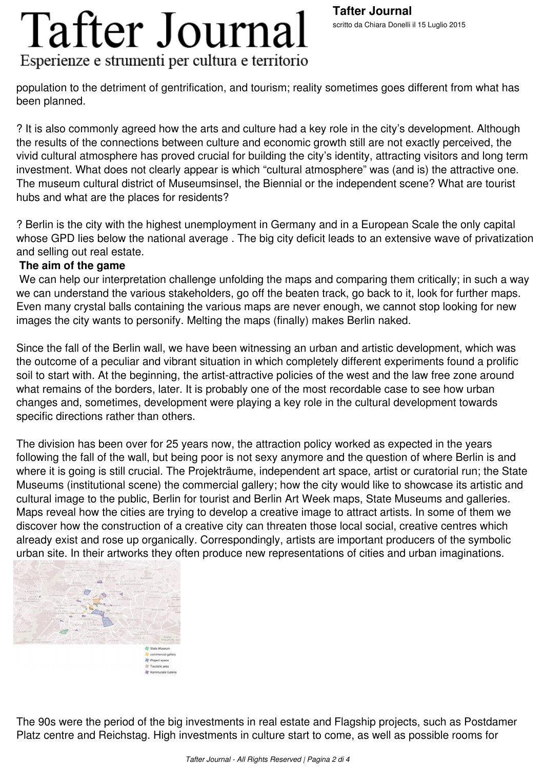# **Tafter Journal** Esperienze e strumenti per cultura e territorio

population to the detriment of gentrification, and tourism; reality sometimes goes different from what has been planned.

? It is also commonly agreed how the arts and culture had a key role in the city's development. Although the results of the connections between culture and economic growth still are not exactly perceived, the vivid cultural atmosphere has proved crucial for building the city's identity, attracting visitors and long term investment. What does not clearly appear is which "cultural atmosphere" was (and is) the attractive one. The museum cultural district of Museumsinsel, the Biennial or the independent scene? What are tourist hubs and what are the places for residents?

? Berlin is the city with the highest unemployment in Germany and in a European Scale the only capital whose GPD lies below the national average . The big city deficit leads to an extensive wave of privatization and selling out real estate.

#### **The aim of the game**

We can help our interpretation challenge unfolding the maps and comparing them critically; in such a way we can understand the various stakeholders, go off the beaten track, go back to it, look for further maps. Even many crystal balls containing the various maps are never enough, we cannot stop looking for new images the city wants to personify. Melting the maps (finally) makes Berlin naked.

Since the fall of the Berlin wall, we have been witnessing an urban and artistic development, which was the outcome of a peculiar and vibrant situation in which completely different experiments found a prolific soil to start with. At the beginning, the artist-attractive policies of the west and the law free zone around what remains of the borders, later. It is probably one of the most recordable case to see how urban changes and, sometimes, development were playing a key role in the cultural development towards specific directions rather than others.

The division has been over for 25 years now, the attraction policy worked as expected in the years following the fall of the wall, but being poor is not sexy anymore and the question of where Berlin is and where it is going is still crucial. The Projekträume, independent art space, artist or curatorial run; the State Museums (institutional scene) the commercial gallery; how the city would like to showcase its artistic and cultural image to the public, Berlin for tourist and Berlin Art Week maps, State Museums and galleries. Maps reveal how the cities are trying to develop a creative image to attract artists. In some of them we discover how the construction of a creative city can threaten those local social, creative centres which already exist and rose up organically. Correspondingly, artists are important producers of the symbolic urban site. In their artworks they often produce new representations of cities and urban imaginations.



The 90s were the period of the big investments in real estate and Flagship projects, such as Postdamer Platz centre and Reichstag. High investments in culture start to come, as well as possible rooms for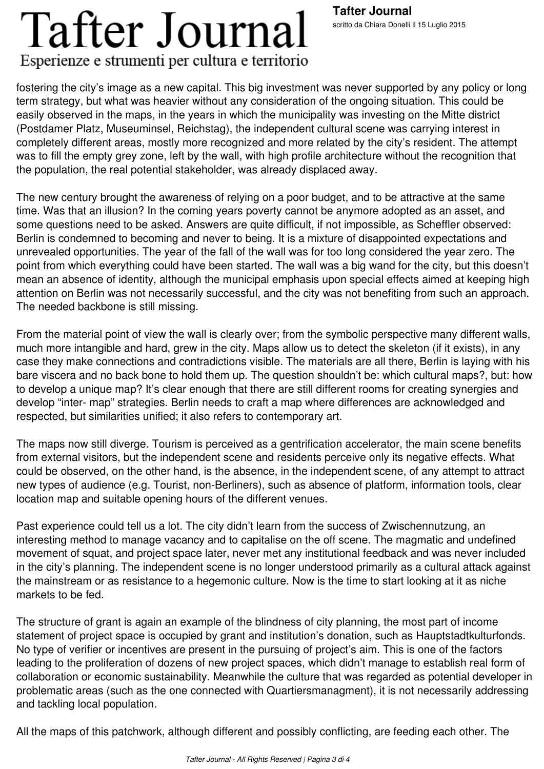#### **Tafter Journal** scritto da Chiara Donelli il 15 Luglio 2015

### **Tafter Journal** Esperienze e strumenti per cultura e territorio

fostering the city's image as a new capital. This big investment was never supported by any policy or long term strategy, but what was heavier without any consideration of the ongoing situation. This could be easily observed in the maps, in the years in which the municipality was investing on the Mitte district (Postdamer Platz, Museuminsel, Reichstag), the independent cultural scene was carrying interest in completely different areas, mostly more recognized and more related by the city's resident. The attempt was to fill the empty grey zone, left by the wall, with high profile architecture without the recognition that the population, the real potential stakeholder, was already displaced away.

The new century brought the awareness of relying on a poor budget, and to be attractive at the same time. Was that an illusion? In the coming years poverty cannot be anymore adopted as an asset, and some questions need to be asked. Answers are quite difficult, if not impossible, as Scheffler observed: Berlin is condemned to becoming and never to being. It is a mixture of disappointed expectations and unrevealed opportunities. The year of the fall of the wall was for too long considered the year zero. The point from which everything could have been started. The wall was a big wand for the city, but this doesn't mean an absence of identity, although the municipal emphasis upon special effects aimed at keeping high attention on Berlin was not necessarily successful, and the city was not benefiting from such an approach. The needed backbone is still missing.

From the material point of view the wall is clearly over; from the symbolic perspective many different walls, much more intangible and hard, grew in the city. Maps allow us to detect the skeleton (if it exists), in any case they make connections and contradictions visible. The materials are all there, Berlin is laying with his bare viscera and no back bone to hold them up. The question shouldn't be: which cultural maps?, but: how to develop a unique map? It's clear enough that there are still different rooms for creating synergies and develop "inter- map" strategies. Berlin needs to craft a map where differences are acknowledged and respected, but similarities unified; it also refers to contemporary art.

The maps now still diverge. Tourism is perceived as a gentrification accelerator, the main scene benefits from external visitors, but the independent scene and residents perceive only its negative effects. What could be observed, on the other hand, is the absence, in the independent scene, of any attempt to attract new types of audience (e.g. Tourist, non-Berliners), such as absence of platform, information tools, clear location map and suitable opening hours of the different venues.

Past experience could tell us a lot. The city didn't learn from the success of Zwischennutzung, an interesting method to manage vacancy and to capitalise on the off scene. The magmatic and undefined movement of squat, and project space later, never met any institutional feedback and was never included in the city's planning. The independent scene is no longer understood primarily as a cultural attack against the mainstream or as resistance to a hegemonic culture. Now is the time to start looking at it as niche markets to be fed.

The structure of grant is again an example of the blindness of city planning, the most part of income statement of project space is occupied by grant and institution's donation, such as Hauptstadtkulturfonds. No type of verifier or incentives are present in the pursuing of project's aim. This is one of the factors leading to the proliferation of dozens of new project spaces, which didn't manage to establish real form of collaboration or economic sustainability. Meanwhile the culture that was regarded as potential developer in problematic areas (such as the one connected with Quartiersmanagment), it is not necessarily addressing and tackling local population.

All the maps of this patchwork, although different and possibly conflicting, are feeding each other. The